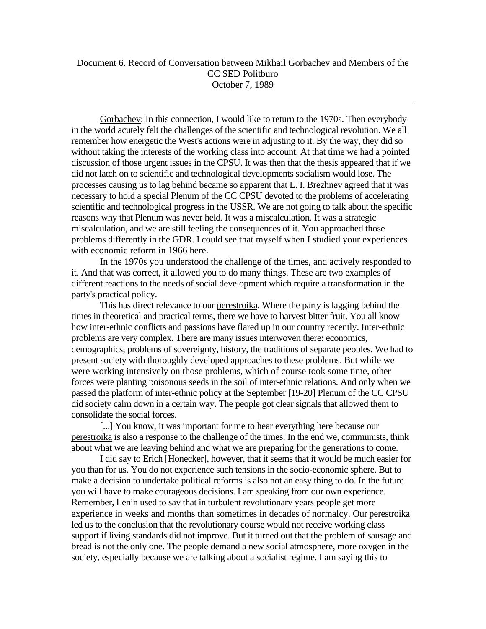Gorbachev: In this connection, I would like to return to the 1970s. Then everybody in the world acutely felt the challenges of the scientific and technological revolution. We all remember how energetic the West's actions were in adjusting to it. By the way, they did so without taking the interests of the working class into account. At that time we had a pointed discussion of those urgent issues in the CPSU. It was then that the thesis appeared that if we did not latch on to scientific and technological developments socialism would lose. The processes causing us to lag behind became so apparent that L. I. Brezhnev agreed that it was necessary to hold a special Plenum of the CC CPSU devoted to the problems of accelerating scientific and technological progress in the USSR. We are not going to talk about the specific reasons why that Plenum was never held. It was a miscalculation. It was a strategic miscalculation, and we are still feeling the consequences of it. You approached those problems differently in the GDR. I could see that myself when I studied your experiences with economic reform in 1966 here.

In the 1970s you understood the challenge of the times, and actively responded to it. And that was correct, it allowed you to do many things. These are two examples of different reactions to the needs of social development which require a transformation in the party's practical policy.

This has direct relevance to our perestroika. Where the party is lagging behind the times in theoretical and practical terms, there we have to harvest bitter fruit. You all know how inter-ethnic conflicts and passions have flared up in our country recently. Inter-ethnic problems are very complex. There are many issues interwoven there: economics, demographics, problems of sovereignty, history, the traditions of separate peoples. We had to present society with thoroughly developed approaches to these problems. But while we were working intensively on those problems, which of course took some time, other forces were planting poisonous seeds in the soil of inter-ethnic relations. And only when we passed the platform of inter-ethnic policy at the September [19-20] Plenum of the CC CPSU did society calm down in a certain way. The people got clear signals that allowed them to consolidate the social forces.

[...] You know, it was important for me to hear everything here because our perestroika is also a response to the challenge of the times. In the end we, communists, think about what we are leaving behind and what we are preparing for the generations to come.

I did say to Erich [Honecker], however, that it seems that it would be much easier for you than for us. You do not experience such tensions in the socio-economic sphere. But to make a decision to undertake political reforms is also not an easy thing to do. In the future you will have to make courageous decisions. I am speaking from our own experience. Remember, Lenin used to say that in turbulent revolutionary years people get more experience in weeks and months than sometimes in decades of normalcy. Our perestroika led us to the conclusion that the revolutionary course would not receive working class support if living standards did not improve. But it turned out that the problem of sausage and bread is not the only one. The people demand a new social atmosphere, more oxygen in the society, especially because we are talking about a socialist regime. I am saying this to